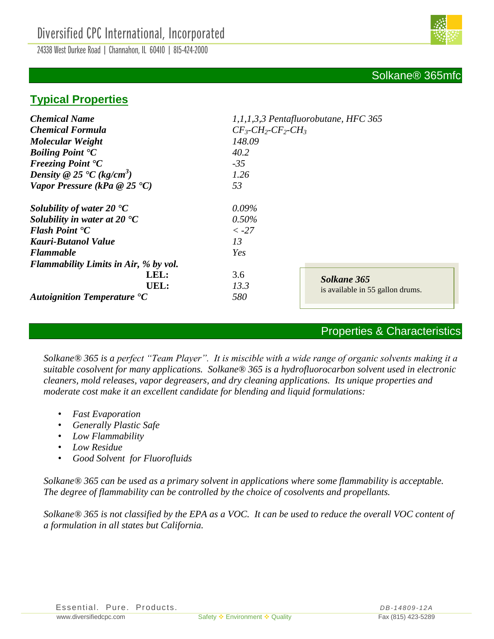24338 West Durkee Road | Channahon, IL 60410 | 815-424-2000



# **Typical Properties**

| <b>Chemical Name</b>                               | 1,1,1,3,3 Pentafluorobutane, HFC 365    |  |  |
|----------------------------------------------------|-----------------------------------------|--|--|
| <b>Chemical Formula</b>                            | $CF_3$ - $CH_2$ - $CF_2$ - $CH_3$       |  |  |
| <b>Molecular Weight</b>                            | 148.09                                  |  |  |
| <b>Boiling Point °C</b>                            | 40.2                                    |  |  |
| <b>Freezing Point <math>{}^{\bullet}C</math></b>   | $-35$                                   |  |  |
| Density @ 25 $\textdegree$ C (kg/cm <sup>3</sup> ) | 1.26                                    |  |  |
| Vapor Pressure (kPa $@25°C$ )                      | 53                                      |  |  |
| Solubility of water 20 $\textdegree$ C             | 0.09%                                   |  |  |
| Solubility in water at 20 $\textdegree$ C          | $0.50\%$                                |  |  |
| <b>Flash Point °C</b>                              | $< -27$                                 |  |  |
| Kauri-Butanol Value                                | 13                                      |  |  |
| <b>Flammable</b>                                   | Yes                                     |  |  |
| <b>Flammability Limits in Air, % by vol.</b>       |                                         |  |  |
| LEL:<br>UEL:                                       | 3.6<br>Solkane 365<br>13.3              |  |  |
| <b>Autoignition Temperature °C</b>                 | is available in 55 gallon drums.<br>580 |  |  |

### Properties & Characteristics

*Solkane® 365 is a perfect "Team Player". It is miscible with a wide range of organic solvents making it a suitable cosolvent for many applications. Solkane® 365 is a hydrofluorocarbon solvent used in electronic cleaners, mold releases, vapor degreasers, and dry cleaning applications. Its unique properties and moderate cost make it an excellent candidate for blending and liquid formulations:*

- *Fast Evaporation*
- *Generally Plastic Safe*
- *Low Flammability*
- *Low Residue*
- *Good Solvent for Fluorofluids*

*Solkane® 365 can be used as a primary solvent in applications where some flammability is acceptable. The degree of flammability can be controlled by the choice of cosolvents and propellants.*

*Solkane® 365 is not classified by the EPA as a VOC. It can be used to reduce the overall VOC content of a formulation in all states but California.*